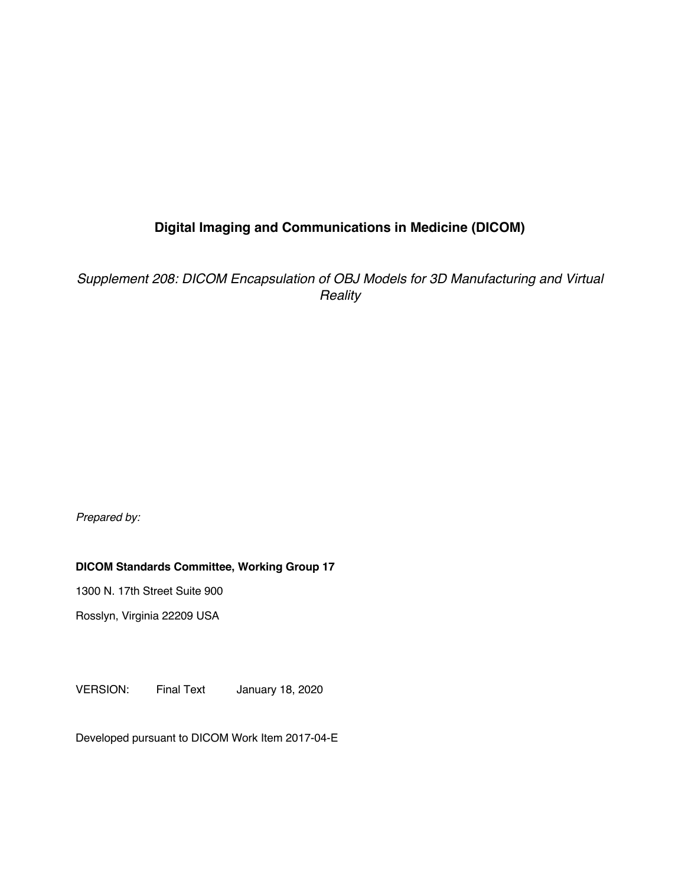# **Digital Imaging and Communications in Medicine (DICOM)**

*Supplement 208: DICOM Encapsulation of OBJ Models for 3D Manufacturing and Virtual Reality*

*Prepared by:*

## **DICOM Standards Committee, Working Group 17**

1300 N. 17th Street Suite 900

Rosslyn, Virginia 22209 USA

VERSION: Final Text January 18, 2020

Developed pursuant to DICOM Work Item 2017-04-E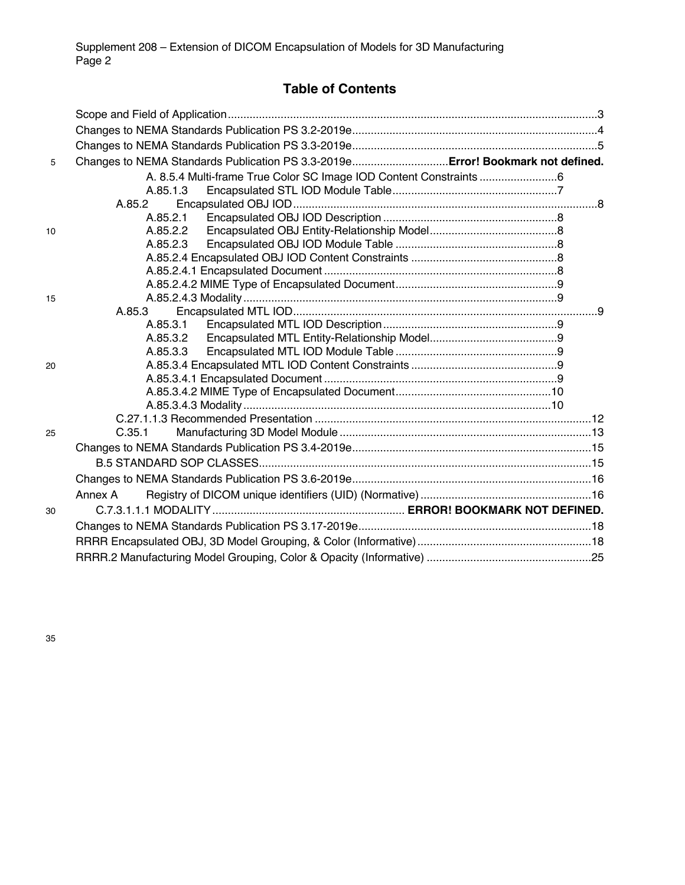# **Table of Contents**

| 5  | Changes to NEMA Standards Publication PS 3.3-2019eError! Bookmark not defined. |  |
|----|--------------------------------------------------------------------------------|--|
|    |                                                                                |  |
|    | A.85.1.3                                                                       |  |
|    | A.85.2                                                                         |  |
|    |                                                                                |  |
| 10 |                                                                                |  |
|    | A.85.2.3                                                                       |  |
|    |                                                                                |  |
|    |                                                                                |  |
|    |                                                                                |  |
| 15 |                                                                                |  |
|    | A.85.3                                                                         |  |
|    |                                                                                |  |
|    |                                                                                |  |
|    | A.85.3.3                                                                       |  |
| 20 |                                                                                |  |
|    |                                                                                |  |
|    |                                                                                |  |
|    |                                                                                |  |
| 25 | C.35.1                                                                         |  |
|    |                                                                                |  |
|    |                                                                                |  |
|    |                                                                                |  |
|    |                                                                                |  |
|    | Annex A                                                                        |  |
| 30 |                                                                                |  |
|    |                                                                                |  |
|    |                                                                                |  |
|    |                                                                                |  |

35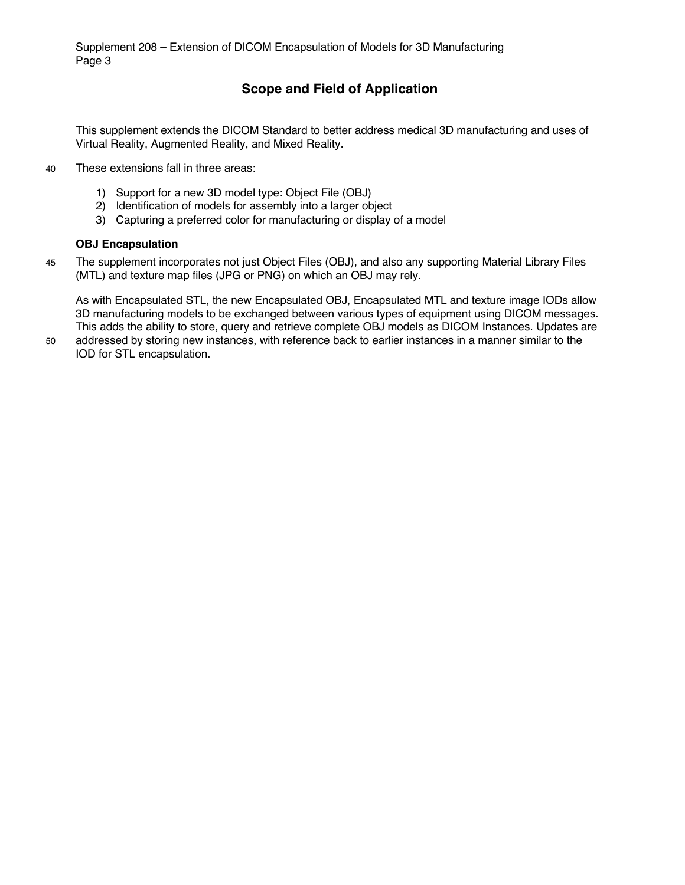# **Scope and Field of Application**

This supplement extends the DICOM Standard to better address medical 3D manufacturing and uses of Virtual Reality, Augmented Reality, and Mixed Reality.

- 40 These extensions fall in three areas:
	- 1) Support for a new 3D model type: Object File (OBJ)
	- 2) Identification of models for assembly into a larger object
	- 3) Capturing a preferred color for manufacturing or display of a model

#### **OBJ Encapsulation**

45 The supplement incorporates not just Object Files (OBJ), and also any supporting Material Library Files (MTL) and texture map files (JPG or PNG) on which an OBJ may rely.

As with Encapsulated STL, the new Encapsulated OBJ, Encapsulated MTL and texture image IODs allow 3D manufacturing models to be exchanged between various types of equipment using DICOM messages. This adds the ability to store, query and retrieve complete OBJ models as DICOM Instances. Updates are

50 addressed by storing new instances, with reference back to earlier instances in a manner similar to the IOD for STL encapsulation.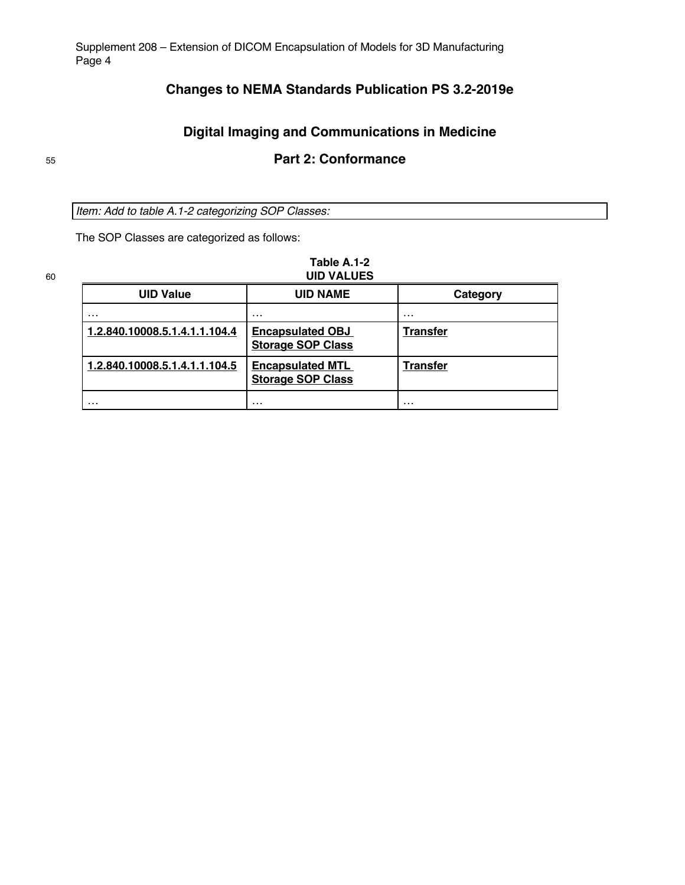# **Changes to NEMA Standards Publication PS 3.2-2019e**

# **Digital Imaging and Communications in Medicine**

# <sup>55</sup> **Part 2: Conformance**

*Item: Add to table A.1-2 categorizing SOP Classes:*

The SOP Classes are categorized as follows:

# **Table A.1-2**

| 60 | <b>UID VALUES</b>             |                                                     |                 |  |  |  |
|----|-------------------------------|-----------------------------------------------------|-----------------|--|--|--|
|    | <b>UID Value</b>              | <b>UID NAME</b>                                     | Category        |  |  |  |
|    | $\cdots$                      | $\cdots$                                            | $\cdots$        |  |  |  |
|    | 1.2.840.10008.5.1.4.1.1.104.4 | <b>Encapsulated OBJ</b><br><b>Storage SOP Class</b> | <b>Transfer</b> |  |  |  |
|    | 1.2.840.10008.5.1.4.1.1.104.5 | <b>Encapsulated MTL</b><br><b>Storage SOP Class</b> | <b>Transfer</b> |  |  |  |
|    | .                             | .                                                   | .               |  |  |  |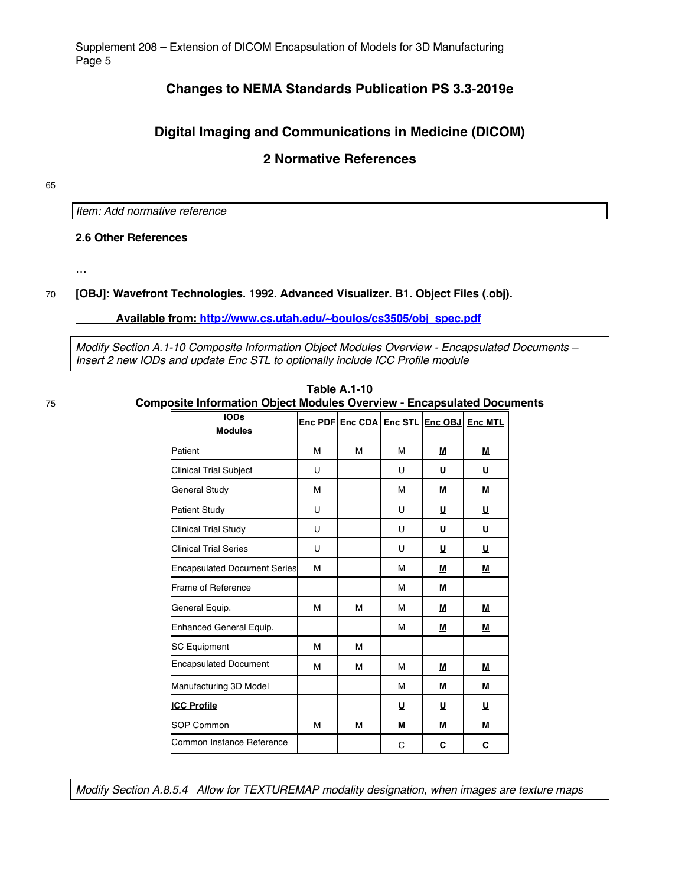# **Changes to NEMA Standards Publication PS 3.3-2019e**

# **Digital Imaging and Communications in Medicine (DICOM)**

# **2 Normative References**

65

*Item: Add normative reference*

**2.6 Other References**

…

#### 70 **[OBJ]: Wavefront Technologies. 1992. Advanced Visualizer. B1. Object Files (.obj).**

**Available from: http://www.cs.utah.edu/~boulos/cs3505/obj\_spec.pdf**

*Modify Section A.1-10 Composite Information Object Modules Overview - Encapsulated Documents – Insert 2 new IODs and update Enc STL to optionally include ICC Profile module*

**Table A.1-10** 75 **Composite Information Object Modules Overview - Encapsulated Documents**

| <b>IODs</b><br><b>Modules</b>       |   | Enc PDF Enc CDA Enc STL Enc OBJ Enc MTL |   |             |          |
|-------------------------------------|---|-----------------------------------------|---|-------------|----------|
| Patient                             | M | м                                       | M | M           | М        |
| <b>Clinical Trial Subject</b>       | U |                                         | U | $\cup$      | <u>U</u> |
| <b>General Study</b>                | M |                                         | M | M           | M        |
| <b>Patient Study</b>                | U |                                         | U | <u>U</u>    | <u>U</u> |
| <b>Clinical Trial Study</b>         | U |                                         | U | <u>U</u>    | <u>U</u> |
| <b>Clinical Trial Series</b>        | U |                                         | U | U           | U        |
| <b>Encapsulated Document Series</b> | M |                                         | М | <u>M</u>    | Μ        |
| Frame of Reference                  |   |                                         | М | М           |          |
| General Equip.                      | M | м                                       | М | Μ           | M        |
| Enhanced General Equip.             |   |                                         | М | <u>M</u>    | M        |
| <b>SC Equipment</b>                 | M | М                                       |   |             |          |
| <b>Encapsulated Document</b>        | M | М                                       | M | M           | М        |
| Manufacturing 3D Model              |   |                                         | М | ${\bf M}$   | M        |
| <b>ICC Profile</b>                  |   |                                         | U | U           | U        |
| <b>SOP Common</b>                   | M | М                                       | M | M           | M        |
| Common Instance Reference           |   |                                         | C | $\mathbf c$ | C        |

*Modify Section A.8.5.4 Allow for TEXTUREMAP modality designation, when images are texture maps*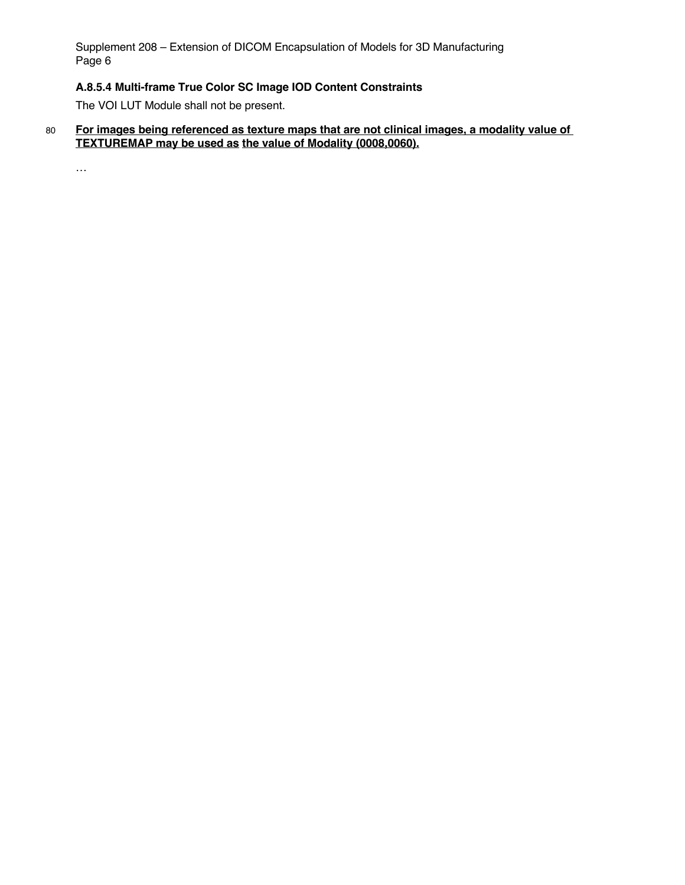# **A.8.5.4 Multi-frame True Color SC Image IOD Content Constraints**

The VOI LUT Module shall not be present.

80 **For images being referenced as texture maps that are not clinical images, a modality value of TEXTUREMAP may be used as the value of Modality (0008,0060).**

…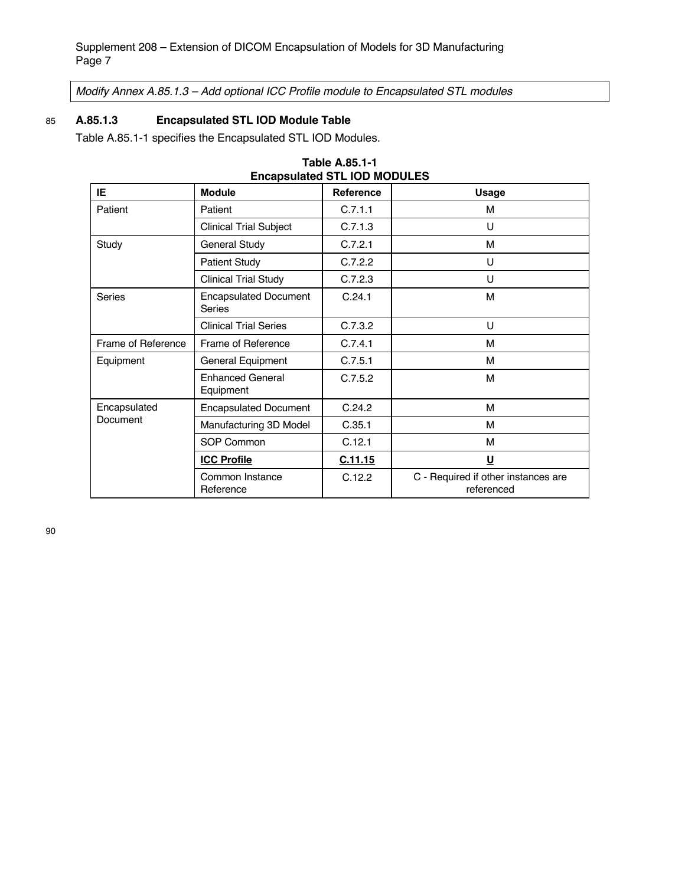*Modify Annex A.85.1.3 – Add optional ICC Profile module to Encapsulated STL modules*

# 85 **A.85.1.3 Encapsulated STL IOD Module Table**

Table A.85.1-1 specifies the Encapsulated STL IOD Modules.

| Encapsulated STL IOD MODULES<br>IE.<br><b>Module</b><br><b>Reference</b> |                                      |         |                                                   |  |  |  |
|--------------------------------------------------------------------------|--------------------------------------|---------|---------------------------------------------------|--|--|--|
|                                                                          |                                      |         | <b>Usage</b>                                      |  |  |  |
| Patient                                                                  | Patient                              | C.7.1.1 | м                                                 |  |  |  |
|                                                                          | <b>Clinical Trial Subject</b>        | C.7.1.3 | U                                                 |  |  |  |
| Study                                                                    | General Study                        | C.7.2.1 | M                                                 |  |  |  |
|                                                                          | <b>Patient Study</b>                 | C.7.2.2 | U                                                 |  |  |  |
|                                                                          | <b>Clinical Trial Study</b>          | C.7.2.3 | U                                                 |  |  |  |
| <b>Encapsulated Document</b><br><b>Series</b><br><b>Series</b>           |                                      | C.24.1  | M                                                 |  |  |  |
|                                                                          | <b>Clinical Trial Series</b>         | C.7.3.2 | U                                                 |  |  |  |
| Frame of Reference                                                       | Frame of Reference                   | C.7.4.1 | м                                                 |  |  |  |
| Equipment                                                                | General Equipment                    | C.7.5.1 | м                                                 |  |  |  |
|                                                                          | <b>Enhanced General</b><br>Equipment | C.7.5.2 | M                                                 |  |  |  |
| Encapsulated                                                             | <b>Encapsulated Document</b>         | C.24.2  | м                                                 |  |  |  |
| Document                                                                 | Manufacturing 3D Model               | C.35.1  | м                                                 |  |  |  |
|                                                                          | <b>SOP Common</b>                    | C.12.1  | M                                                 |  |  |  |
|                                                                          | <b>ICC Profile</b>                   | C.11.15 | <u>U</u>                                          |  |  |  |
|                                                                          | Common Instance<br>Reference         | C.12.2  | C - Required if other instances are<br>referenced |  |  |  |

| <b>Table A.85.1-1</b>               |
|-------------------------------------|
| <b>Encapsulated STL IOD MODULES</b> |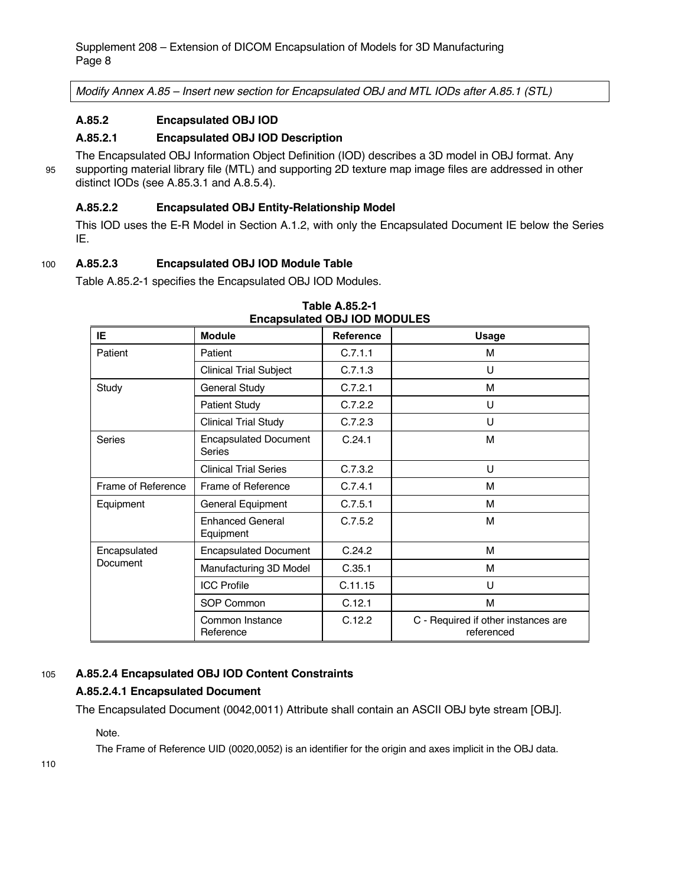*Modify Annex A.85 – Insert new section for Encapsulated OBJ and MTL IODs after A.85.1 (STL)*

#### **A.85.2 Encapsulated OBJ IOD**

#### **A.85.2.1 Encapsulated OBJ IOD Description**

The Encapsulated OBJ Information Object Definition (IOD) describes a 3D model in OBJ format. Any 95 supporting material library file (MTL) and supporting 2D texture map image files are addressed in other distinct IODs (see A.85.3.1 and A.8.5.4).

#### **A.85.2.2 Encapsulated OBJ Entity-Relationship Model**

This IOD uses the E-R Model in Section A.1.2, with only the Encapsulated Document IE below the Series IE.

#### 100 **A.85.2.3 Encapsulated OBJ IOD Module Table**

Table A.85.2-1 specifies the Encapsulated OBJ IOD Modules.

| ENCAPSURIED OBJ IOD MODULES                             |                                      |                  |                                                   |  |  |
|---------------------------------------------------------|--------------------------------------|------------------|---------------------------------------------------|--|--|
| IE.                                                     | <b>Module</b>                        | <b>Reference</b> | <b>Usage</b>                                      |  |  |
| Patient                                                 | Patient                              | C.7.1.1          | м                                                 |  |  |
|                                                         | <b>Clinical Trial Subject</b>        | C.7.1.3          | U                                                 |  |  |
| Study                                                   | <b>General Study</b>                 | C.7.2.1          | M                                                 |  |  |
|                                                         | <b>Patient Study</b>                 | C.7.2.2          | U                                                 |  |  |
|                                                         | <b>Clinical Trial Study</b>          | C.7.2.3          | U                                                 |  |  |
| <b>Encapsulated Document</b><br><b>Series</b><br>Series |                                      | C.24.1           | M                                                 |  |  |
|                                                         | <b>Clinical Trial Series</b>         | C.7.3.2          | U                                                 |  |  |
| Frame of Reference                                      | Frame of Reference                   | C.7.4.1          | м                                                 |  |  |
| Equipment                                               | General Equipment                    | C.7.5.1          | M                                                 |  |  |
|                                                         | <b>Enhanced General</b><br>Equipment | C.7.5.2          | M                                                 |  |  |
| Encapsulated                                            | <b>Encapsulated Document</b>         | C.24.2           | M                                                 |  |  |
| Document                                                | Manufacturing 3D Model               | C.35.1           | M                                                 |  |  |
|                                                         | <b>ICC Profile</b>                   | C.11.15          | U                                                 |  |  |
|                                                         | SOP Common                           | C.12.1           | M                                                 |  |  |
|                                                         | Common Instance<br>Reference         | C.12.2           | C - Required if other instances are<br>referenced |  |  |

**Table A.85.2-1 Encapsulated OBJ IOD MODULES**

#### 105 **A.85.2.4 Encapsulated OBJ IOD Content Constraints**

#### **A.85.2.4.1 Encapsulated Document**

The Encapsulated Document (0042,0011) Attribute shall contain an ASCII OBJ byte stream [OBJ].

Note.

The Frame of Reference UID (0020,0052) is an identifier for the origin and axes implicit in the OBJ data.

110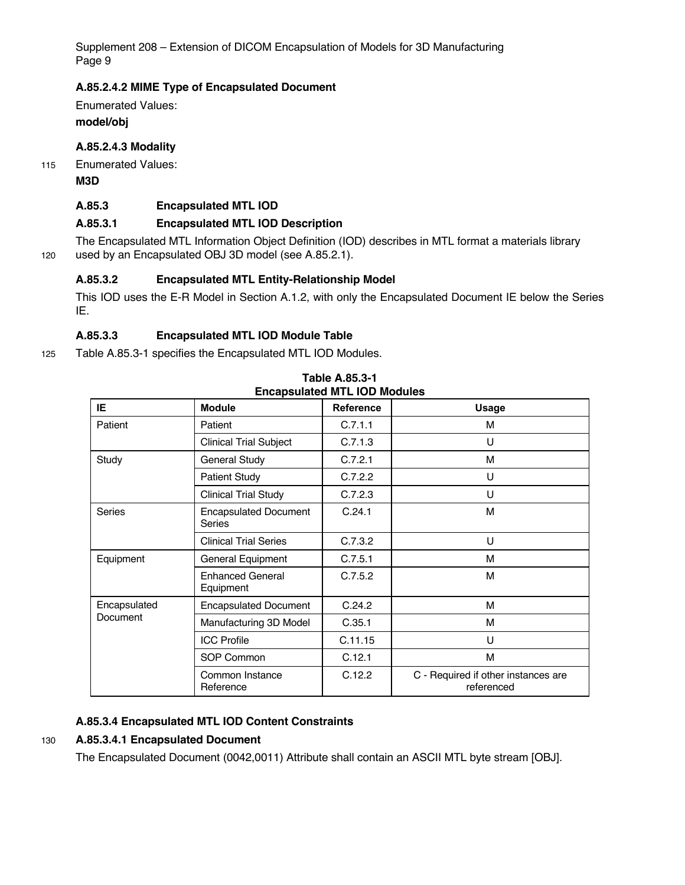#### **A.85.2.4.2 MIME Type of Encapsulated Document**

Enumerated Values: **model/obj**

#### **A.85.2.4.3 Modality**

115 Enumerated Values:

**M3D**

#### **A.85.3 Encapsulated MTL IOD**

#### **A.85.3.1 Encapsulated MTL IOD Description**

The Encapsulated MTL Information Object Definition (IOD) describes in MTL format a materials library 120 used by an Encapsulated OBJ 3D model (see A.85.2.1).

#### **A.85.3.2 Encapsulated MTL Entity-Relationship Model**

This IOD uses the E-R Model in Section A.1.2, with only the Encapsulated Document IE below the Series IE.

### **A.85.3.3 Encapsulated MTL IOD Module Table**

125 Table A.85.3-1 specifies the Encapsulated MTL IOD Modules.

| Elicapsulated MILLIOD MOUDIES |                                        |                  |                                                   |  |  |
|-------------------------------|----------------------------------------|------------------|---------------------------------------------------|--|--|
| IE.                           | <b>Module</b>                          | <b>Reference</b> | <b>Usage</b>                                      |  |  |
| Patient                       | Patient                                | C.7.1.1          | м                                                 |  |  |
|                               | <b>Clinical Trial Subject</b>          | C.7.1.3          | U                                                 |  |  |
| Study                         | <b>General Study</b>                   | C.7.2.1          | м                                                 |  |  |
|                               | <b>Patient Study</b>                   | C.7.2.2          | U                                                 |  |  |
|                               | <b>Clinical Trial Study</b>            | C.7.2.3          | U                                                 |  |  |
| Series                        | <b>Encapsulated Document</b><br>Series | C.24.1           | м                                                 |  |  |
|                               | <b>Clinical Trial Series</b>           | C.7.3.2          | U                                                 |  |  |
| Equipment                     | General Equipment                      | C.7.5.1          | м                                                 |  |  |
|                               | <b>Enhanced General</b><br>Equipment   | C.7.5.2          | M                                                 |  |  |
| Encapsulated                  | <b>Encapsulated Document</b>           | C.24.2           | м                                                 |  |  |
| <b>Document</b>               | Manufacturing 3D Model                 | C.35.1           | м                                                 |  |  |
|                               | <b>ICC Profile</b>                     | C.11.15          | U                                                 |  |  |
|                               | SOP Common                             | C.12.1           | М                                                 |  |  |
|                               | Common Instance<br>Reference           | C.12.2           | C - Required if other instances are<br>referenced |  |  |

**Table A.85.3-1 Encapsulated MTL IOD Modules**

### **A.85.3.4 Encapsulated MTL IOD Content Constraints**

#### 130 **A.85.3.4.1 Encapsulated Document**

The Encapsulated Document (0042,0011) Attribute shall contain an ASCII MTL byte stream [OBJ].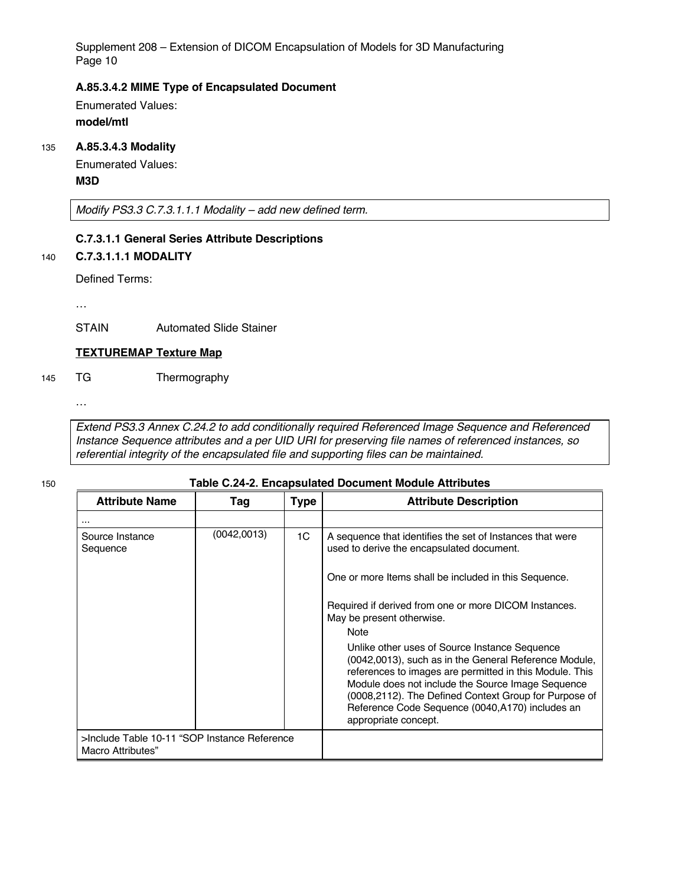#### **A.85.3.4.2 MIME Type of Encapsulated Document**

Enumerated Values: **model/mtl**

#### 135 **A.85.3.4.3 Modality**

Enumerated Values: **M3D**

*Modify PS3.3 C.7.3.1.1.1 Modality – add new defined term.*

#### **C.7.3.1.1 General Series Attribute Descriptions**

#### 140 **C.7.3.1.1.1 MODALITY**

Defined Terms:

…

STAIN Automated Slide Stainer

#### **TEXTUREMAP Texture Map**

145 TG Thermography

…

*Extend PS3.3 Annex C.24.2 to add conditionally required Referenced Image Sequence and Referenced Instance Sequence attributes and a per UID URI for preserving file names of referenced instances, so referential integrity of the encapsulated file and supporting files can be maintained.*

#### 150 **Table C.24-2. Encapsulated Document Module Attributes**

| <b>Attribute Name</b>                                             | Tag         | <b>Type</b> | <b>Attribute Description</b>                                                                                                                                                                                                                                                                                          |
|-------------------------------------------------------------------|-------------|-------------|-----------------------------------------------------------------------------------------------------------------------------------------------------------------------------------------------------------------------------------------------------------------------------------------------------------------------|
|                                                                   |             |             |                                                                                                                                                                                                                                                                                                                       |
| Source Instance<br>Sequence                                       | (0042,0013) | 1C          | A sequence that identifies the set of Instances that were<br>used to derive the encapsulated document.<br>One or more Items shall be included in this Sequence.<br>Required if derived from one or more DICOM Instances.<br>May be present otherwise.<br><b>Note</b><br>Unlike other uses of Source Instance Sequence |
|                                                                   |             |             | (0042,0013), such as in the General Reference Module,<br>references to images are permitted in this Module. This<br>Module does not include the Source Image Sequence<br>(0008,2112). The Defined Context Group for Purpose of<br>Reference Code Sequence (0040, A170) includes an<br>appropriate concept.            |
| >Include Table 10-11 "SOP Instance Reference<br>Macro Attributes" |             |             |                                                                                                                                                                                                                                                                                                                       |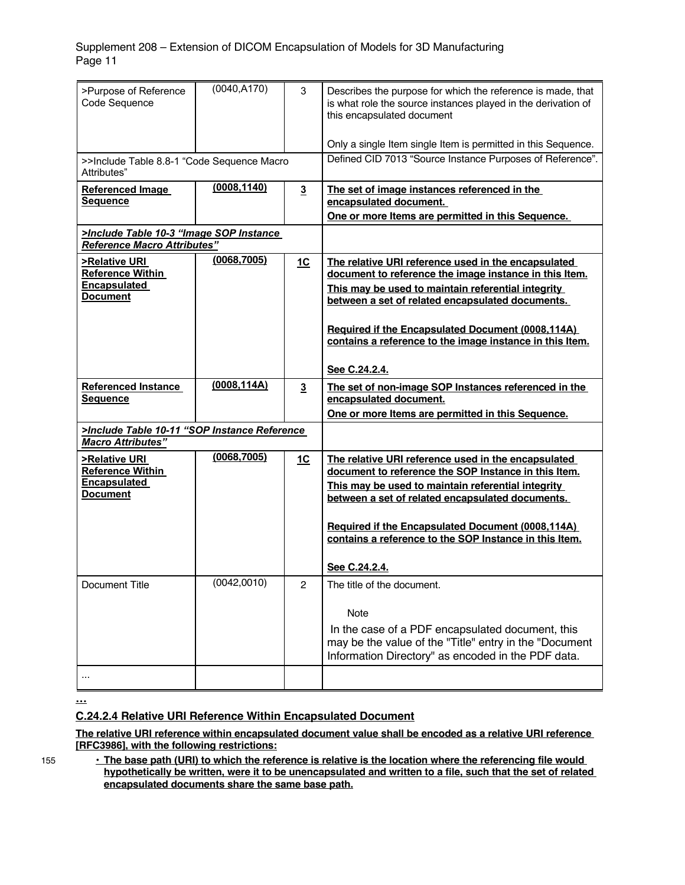| >Purpose of Reference<br>Code Sequence                                                       | (0040, A170) | 3                | Describes the purpose for which the reference is made, that<br>is what role the source instances played in the derivation of<br>this encapsulated document<br>Only a single Item single Item is permitted in this Sequence.                                                                                                                               |
|----------------------------------------------------------------------------------------------|--------------|------------------|-----------------------------------------------------------------------------------------------------------------------------------------------------------------------------------------------------------------------------------------------------------------------------------------------------------------------------------------------------------|
| >>Include Table 8.8-1 "Code Sequence Macro<br>Attributes"                                    |              |                  | Defined CID 7013 "Source Instance Purposes of Reference".                                                                                                                                                                                                                                                                                                 |
| <b>Referenced Image</b><br><b>Sequence</b>                                                   | (0008, 1140) | $\overline{3}$   | The set of image instances referenced in the<br>encapsulated document.<br>One or more Items are permitted in this Sequence.                                                                                                                                                                                                                               |
| >Include Table 10-3 "Image SOP Instance<br><b>Reference Macro Attributes"</b>                |              |                  |                                                                                                                                                                                                                                                                                                                                                           |
| <b>&gt;Relative URI</b><br><b>Reference Within</b><br><b>Encapsulated</b><br><b>Document</b> | (0068, 7005) | 1C               | The relative URI reference used in the encapsulated<br>document to reference the image instance in this Item.<br>This may be used to maintain referential integrity<br>between a set of related encapsulated documents.<br>Required if the Encapsulated Document (0008,114A)<br>contains a reference to the image instance in this Item.<br>See C.24.2.4. |
| <b>Referenced Instance</b><br><b>Sequence</b>                                                | (0008, 114A) | $\overline{3}$   | The set of non-image SOP Instances referenced in the<br>encapsulated document.<br>One or more Items are permitted in this Sequence.                                                                                                                                                                                                                       |
| >Include Table 10-11 "SOP Instance Reference<br><b>Macro Attributes"</b>                     |              |                  |                                                                                                                                                                                                                                                                                                                                                           |
| <b>&gt;Relative URI</b><br><b>Reference Within</b><br><b>Encapsulated</b><br><b>Document</b> | (0068, 7005) | <u>1C</u>        | The relative URI reference used in the encapsulated<br>document to reference the SOP Instance in this Item.<br>This may be used to maintain referential integrity<br>between a set of related encapsulated documents.<br>Required if the Encapsulated Document (0008,114A)<br>contains a reference to the SOP Instance in this Item.<br>See C.24.2.4.     |
| <b>Document Title</b>                                                                        | (0042, 0010) | $\boldsymbol{2}$ | The title of the document.<br>Note<br>In the case of a PDF encapsulated document, this<br>may be the value of the "Title" entry in the "Document<br>Information Directory" as encoded in the PDF data.                                                                                                                                                    |
|                                                                                              |              |                  |                                                                                                                                                                                                                                                                                                                                                           |

**…**

### **C.24.2.4 Relative URI Reference Within Encapsulated Document**

**The relative URI reference within encapsulated document value shall be encoded as a relative URI reference [RFC3986], with the following restrictions:**

155 **• The base path (URI) to which the reference is relative is the location where the referencing file would hypothetically be written, were it to be unencapsulated and written to a file, such that the set of related encapsulated documents share the same base path.**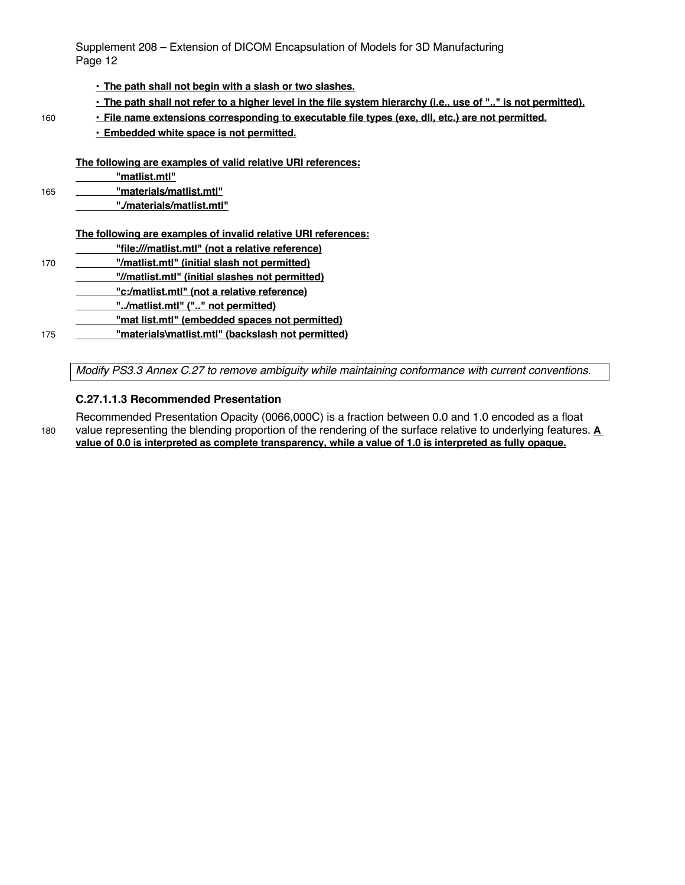#### **• The path shall not begin with a slash or two slashes.**

- **• The path shall not refer to a higher level in the file system hierarchy (i.e., use of ".." is not permitted).**
- 160 **• File name extensions corresponding to executable file types (exe, dll, etc.) are not permitted.**
	- **• Embedded white space is not permitted.**

**The following are examples of valid relative URI references:**

**"matlist.mtl"**

165 **"materials/matlist.mtl"**

**"./materials/matlist.mtl"**

#### **The following are examples of invalid relative URI references:**

**"file:///matlist.mtl" (not a relative reference)** 170 **"/matlist.mtl" (initial slash not permitted) "//matlist.mtl" (initial slashes not permitted) "c:/matlist.mtl" (not a relative reference) "../matlist.mtl" (".." not permitted) "mat list.mtl" (embedded spaces not permitted)**

175 **"materials\matlist.mtl" (backslash not permitted)**

*Modify PS3.3 Annex C.27 to remove ambiguity while maintaining conformance with current conventions.*

#### **C.27.1.1.3 Recommended Presentation**

Recommended Presentation Opacity (0066,000C) is a fraction between 0.0 and 1.0 encoded as a float 180 value representing the blending proportion of the rendering of the surface relative to underlying features. **A value of 0.0 is interpreted as complete transparency, while a value of 1.0 is interpreted as fully opaque.**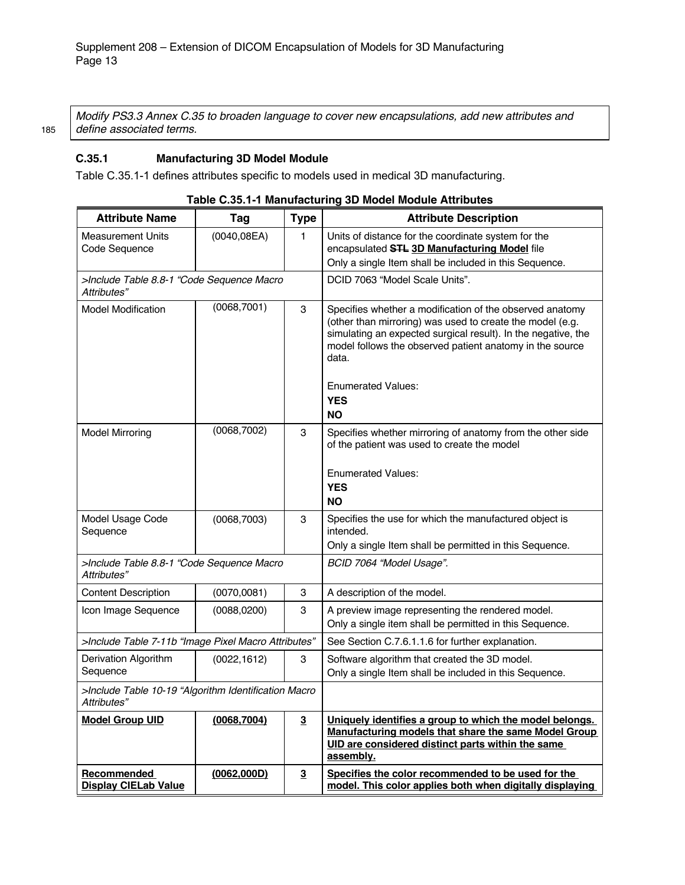*Modify PS3.3 Annex C.35 to broaden language to cover new encapsulations, add new attributes and*  185 *define associated terms.*

#### **C.35.1 Manufacturing 3D Model Module**

Table C.35.1-1 defines attributes specific to models used in medical 3D manufacturing.

| <b>Attribute Name</b>                                               | Tag          | <b>Type</b>             | <b>Attribute Description</b>                                                                                                                                                                                                                                                             |
|---------------------------------------------------------------------|--------------|-------------------------|------------------------------------------------------------------------------------------------------------------------------------------------------------------------------------------------------------------------------------------------------------------------------------------|
| <b>Measurement Units</b><br>Code Sequence                           | (0040, 08EA) | 1                       | Units of distance for the coordinate system for the<br>encapsulated STL 3D Manufacturing Model file                                                                                                                                                                                      |
|                                                                     |              |                         | Only a single Item shall be included in this Sequence.                                                                                                                                                                                                                                   |
| >Include Table 8.8-1 "Code Sequence Macro<br>Attributes"            |              |                         | DCID 7063 "Model Scale Units".                                                                                                                                                                                                                                                           |
| <b>Model Modification</b>                                           | (0068, 7001) | 3                       | Specifies whether a modification of the observed anatomy<br>(other than mirroring) was used to create the model (e.g.<br>simulating an expected surgical result). In the negative, the<br>model follows the observed patient anatomy in the source<br>data.<br><b>Enumerated Values:</b> |
|                                                                     |              |                         | <b>YES</b>                                                                                                                                                                                                                                                                               |
|                                                                     |              |                         | <b>NO</b>                                                                                                                                                                                                                                                                                |
| <b>Model Mirroring</b>                                              | (0068, 7002) | 3                       | Specifies whether mirroring of anatomy from the other side<br>of the patient was used to create the model                                                                                                                                                                                |
|                                                                     |              |                         | <b>Enumerated Values:</b><br><b>YES</b><br><b>NO</b>                                                                                                                                                                                                                                     |
| Model Usage Code<br>Sequence                                        | (0068, 7003) | 3                       | Specifies the use for which the manufactured object is<br>intended.                                                                                                                                                                                                                      |
|                                                                     |              |                         | Only a single Item shall be permitted in this Sequence.                                                                                                                                                                                                                                  |
| >Include Table 8.8-1 "Code Sequence Macro<br>Attributes"            |              |                         | BCID 7064 "Model Usage".                                                                                                                                                                                                                                                                 |
| <b>Content Description</b>                                          | (0070,0081)  | 3                       | A description of the model.                                                                                                                                                                                                                                                              |
| Icon Image Sequence                                                 | (0088, 0200) | 3                       | A preview image representing the rendered model.<br>Only a single item shall be permitted in this Sequence.                                                                                                                                                                              |
| >Include Table 7-11b "Image Pixel Macro Attributes"                 |              |                         | See Section C.7.6.1.1.6 for further explanation.                                                                                                                                                                                                                                         |
| Derivation Algorithm<br>Sequence                                    | (0022, 1612) | 3                       | Software algorithm that created the 3D model.<br>Only a single Item shall be included in this Sequence.                                                                                                                                                                                  |
| >Include Table 10-19 "Algorithm Identification Macro<br>Attributes" |              |                         |                                                                                                                                                                                                                                                                                          |
| <b>Model Group UID</b>                                              | (0068, 7004) | $\overline{\mathbf{3}}$ | Uniquely identifies a group to which the model belongs.<br>Manufacturing models that share the same Model Group<br>UID are considered distinct parts within the same<br>assembly.                                                                                                        |
| Recommended<br><b>Display CIELab Value</b>                          | (0062,000D)  | $\overline{\mathbf{3}}$ | Specifies the color recommended to be used for the<br>model. This color applies both when digitally displaying                                                                                                                                                                           |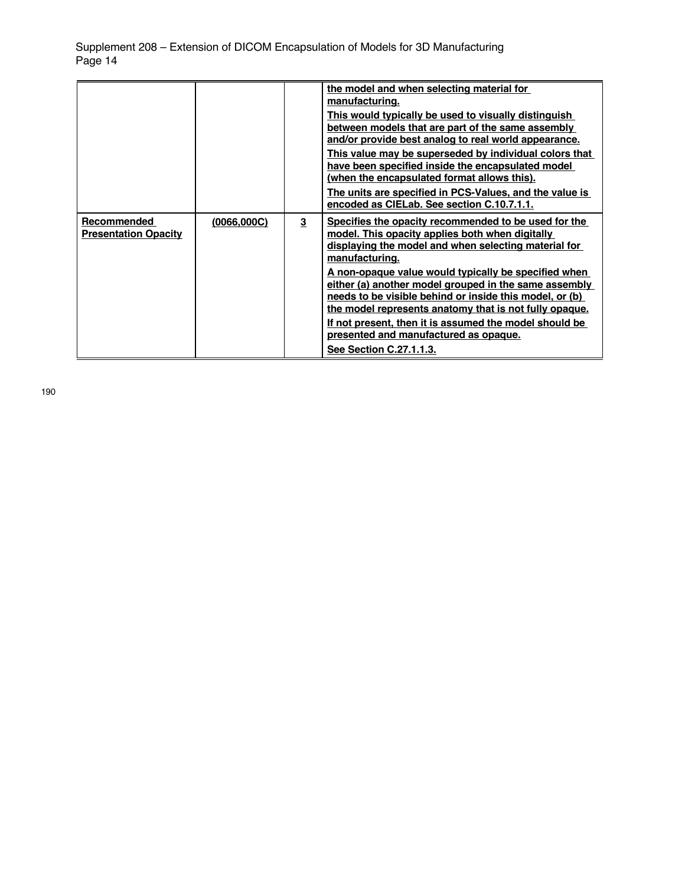|                                            |              |                         | the model and when selecting material for<br>manufacturing.<br>This would typically be used to visually distinguish<br>between models that are part of the same assembly<br>and/or provide best analog to real world appearance.<br>This value may be superseded by individual colors that<br>have been specified inside the encapsulated model<br>(when the encapsulated format allows this).<br>The units are specified in PCS-Values, and the value is<br>encoded as CIELab. See section C.10.7.1.1.                                               |
|--------------------------------------------|--------------|-------------------------|-------------------------------------------------------------------------------------------------------------------------------------------------------------------------------------------------------------------------------------------------------------------------------------------------------------------------------------------------------------------------------------------------------------------------------------------------------------------------------------------------------------------------------------------------------|
| Recommended<br><b>Presentation Opacity</b> | (0066, 000C) | $\overline{\mathbf{3}}$ | Specifies the opacity recommended to be used for the<br>model. This opacity applies both when digitally<br>displaying the model and when selecting material for<br>manufacturing.<br>A non-opaque value would typically be specified when<br>either (a) another model grouped in the same assembly<br>needs to be visible behind or inside this model, or (b)<br>the model represents anatomy that is not fully opaque.<br>If not present, then it is assumed the model should be<br>presented and manufactured as opaque.<br>See Section C.27.1.1.3. |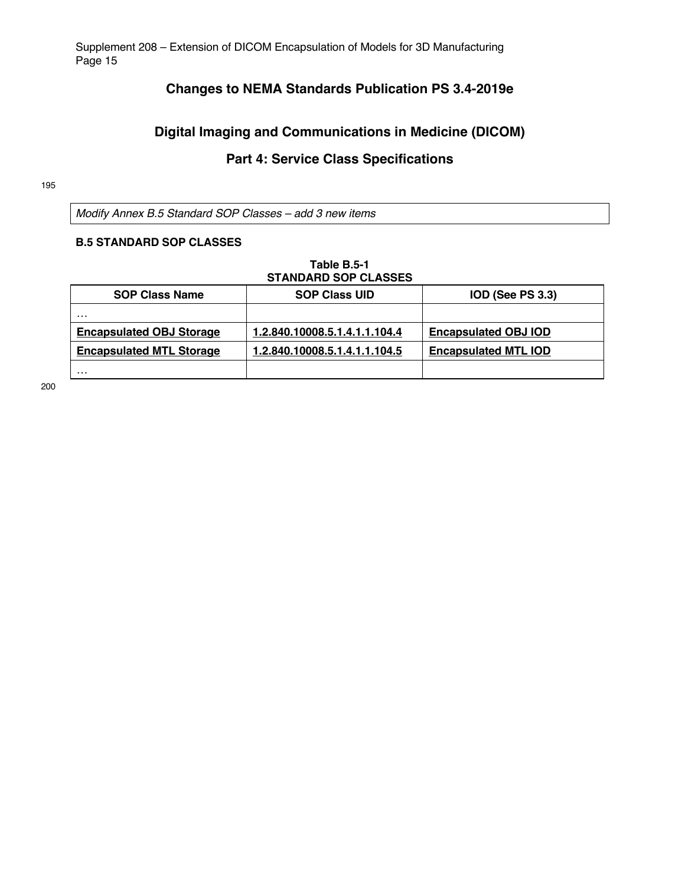# **Changes to NEMA Standards Publication PS 3.4-2019e**

# **Digital Imaging and Communications in Medicine (DICOM)**

# **Part 4: Service Class Specifications**

#### 195

*Modify Annex B.5 Standard SOP Classes – add 3 new items*

#### **B.5 STANDARD SOP CLASSES**

# **Table B.5-1 STANDARD SOP CLASSES**

| <b>SOP Class Name</b>           | <b>SOP Class UID</b>          | <b>IOD (See PS 3.3)</b>     |
|---------------------------------|-------------------------------|-----------------------------|
| .                               |                               |                             |
| <b>Encapsulated OBJ Storage</b> | 1.2.840.10008.5.1.4.1.1.104.4 | <b>Encapsulated OBJ IOD</b> |
| <b>Encapsulated MTL Storage</b> | 1.2.840.10008.5.1.4.1.1.104.5 | <b>Encapsulated MTL IOD</b> |
| .                               |                               |                             |

200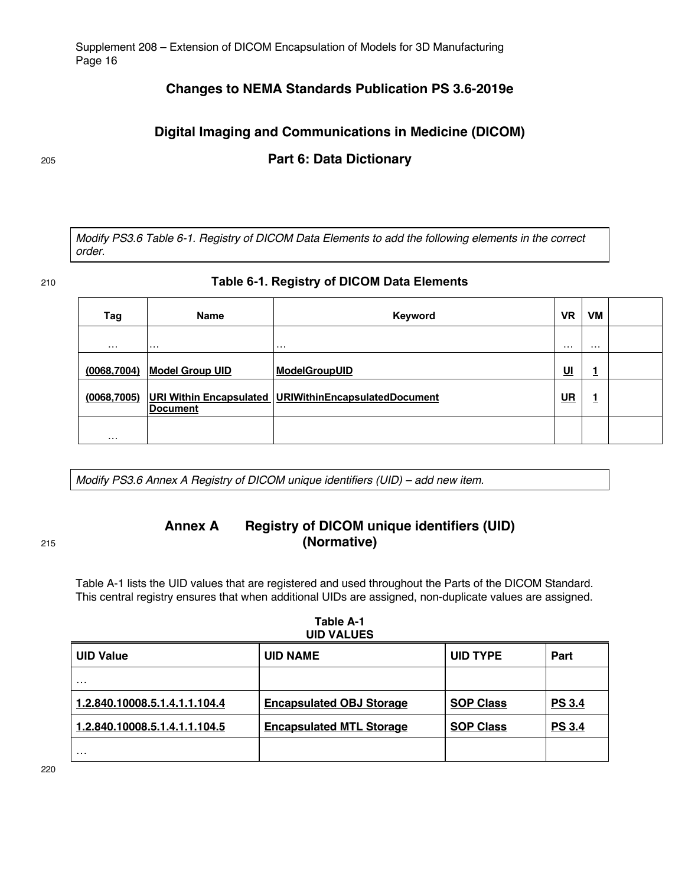# **Changes to NEMA Standards Publication PS 3.6-2019e**

# **Digital Imaging and Communications in Medicine (DICOM)**

# <sup>205</sup> **Part 6: Data Dictionary**

*Modify PS3.6 Table 6-1. Registry of DICOM Data Elements to add the following elements in the correct order.*

#### 210 **Table 6-1. Registry of DICOM Data Elements**

| Tag          | <b>Name</b>            | Keyword                                                   | <b>VR</b>  | <b>VM</b> |  |
|--------------|------------------------|-----------------------------------------------------------|------------|-----------|--|
| .            | $\cdots$               | $\cdots$                                                  | .          | .         |  |
| (0068, 7004) | <b>Model Group UID</b> | <b>ModelGroupUID</b>                                      | <u> Ul</u> | ٠<br>┻    |  |
| (0068, 7005) | <b>Document</b>        | URI Within Encapsulated   URIWithin Encapsulated Document | <b>UR</b>  | 1         |  |
| .            |                        |                                                           |            |           |  |

*Modify PS3.6 Annex A Registry of DICOM unique identifiers (UID) – add new item.*

# **Annex A Registry of DICOM unique identifiers (UID)** <sup>215</sup> **(Normative)**

Table A-1 lists the UID values that are registered and used throughout the Parts of the DICOM Standard. This central registry ensures that when additional UIDs are assigned, non-duplicate values are assigned.

| UID VALUES                    |                                 |                  |               |  |
|-------------------------------|---------------------------------|------------------|---------------|--|
| <b>UID Value</b>              | <b>UID NAME</b>                 | <b>UID TYPE</b>  | Part          |  |
| $\cdots$                      |                                 |                  |               |  |
| 1.2.840.10008.5.1.4.1.1.104.4 | <b>Encapsulated OBJ Storage</b> | <b>SOP Class</b> | <b>PS 3.4</b> |  |
| 1.2.840.10008.5.1.4.1.1.104.5 | <b>Encapsulated MTL Storage</b> | <b>SOP Class</b> | <b>PS 3.4</b> |  |
| $\cdots$                      |                                 |                  |               |  |

#### **Table A-1 UID VALUES**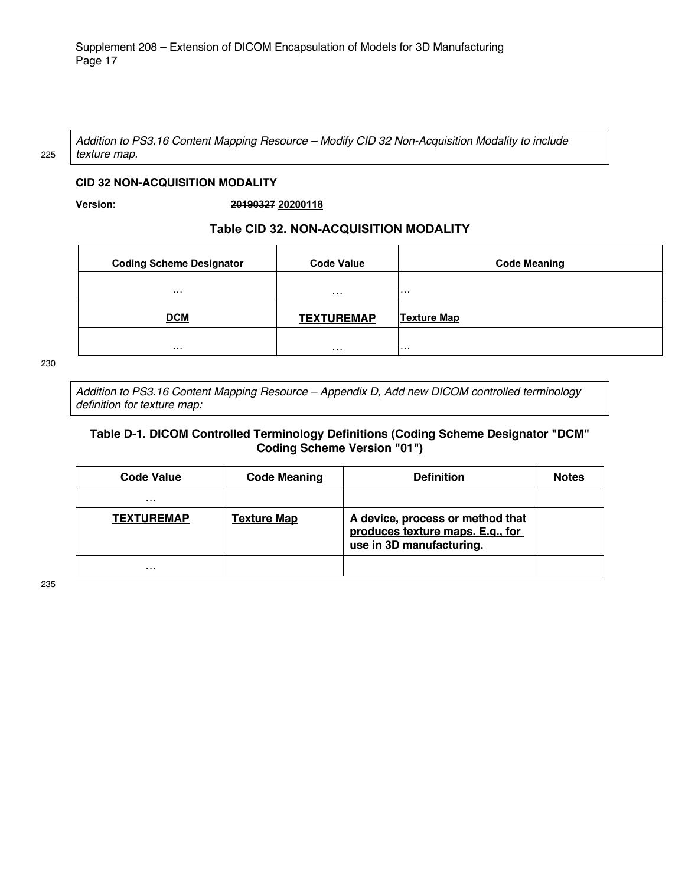*Addition to PS3.16 Content Mapping Resource – Modify CID 32 Non-Acquisition Modality to include*  225 *texture map.*

#### **CID 32 NON-ACQUISITION MODALITY**

**Version: 20190327 20200118**

#### **Table CID 32. NON-ACQUISITION MODALITY**

| <b>Coding Scheme Designator</b> | <b>Code Value</b> | <b>Code Meaning</b> |
|---------------------------------|-------------------|---------------------|
| .                               | .                 | .                   |
| <b>DCM</b>                      | <b>TEXTUREMAP</b> | <b>Texture Map</b>  |
| .                               | $\cdots$          | .                   |

230

*Addition to PS3.16 Content Mapping Resource – Appendix D, Add new DICOM controlled terminology definition for texture map:*

#### **Table D-1. DICOM Controlled Terminology Definitions (Coding Scheme Designator "DCM" Coding Scheme Version "01")**

| <b>Code Value</b> | <b>Code Meaning</b> | <b>Definition</b>                                                                                | <b>Notes</b> |
|-------------------|---------------------|--------------------------------------------------------------------------------------------------|--------------|
| $\cdots$          |                     |                                                                                                  |              |
| <b>TEXTUREMAP</b> | <b>Texture Map</b>  | A device, process or method that<br>produces texture maps. E.g., for<br>use in 3D manufacturing. |              |
| $\cdots$          |                     |                                                                                                  |              |

235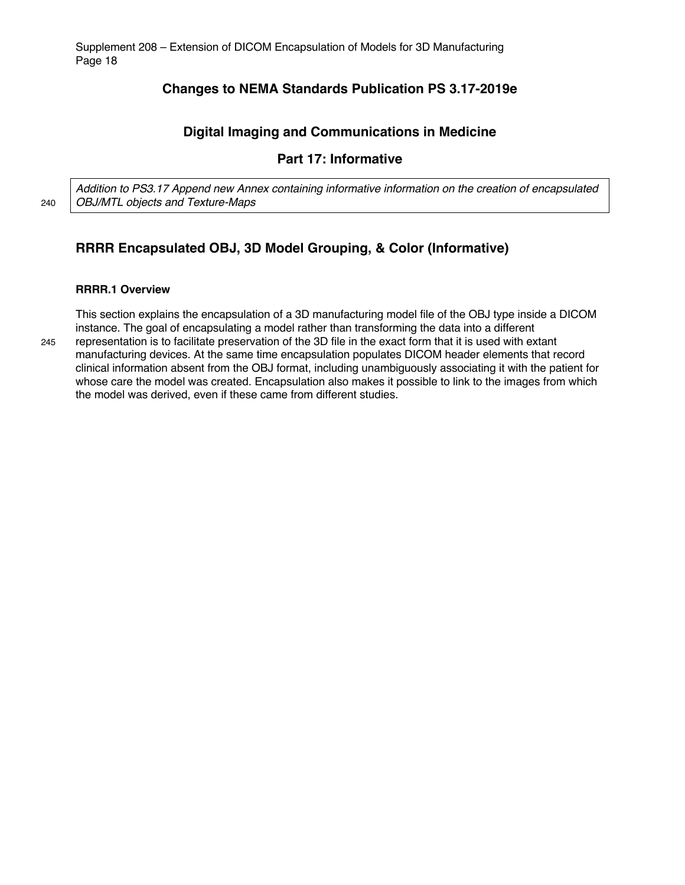# **Changes to NEMA Standards Publication PS 3.17-2019e**

# **Digital Imaging and Communications in Medicine**

# **Part 17: Informative**

*Addition to PS3.17 Append new Annex containing informative information on the creation of encapsulated*  240 *OBJ/MTL objects and Texture-Maps*

# **RRRR Encapsulated OBJ, 3D Model Grouping, & Color (Informative)**

#### **RRRR.1 Overview**

This section explains the encapsulation of a 3D manufacturing model file of the OBJ type inside a DICOM instance. The goal of encapsulating a model rather than transforming the data into a different 245 representation is to facilitate preservation of the 3D file in the exact form that it is used with extant manufacturing devices. At the same time encapsulation populates DICOM header elements that record clinical information absent from the OBJ format, including unambiguously associating it with the patient for whose care the model was created. Encapsulation also makes it possible to link to the images from which the model was derived, even if these came from different studies.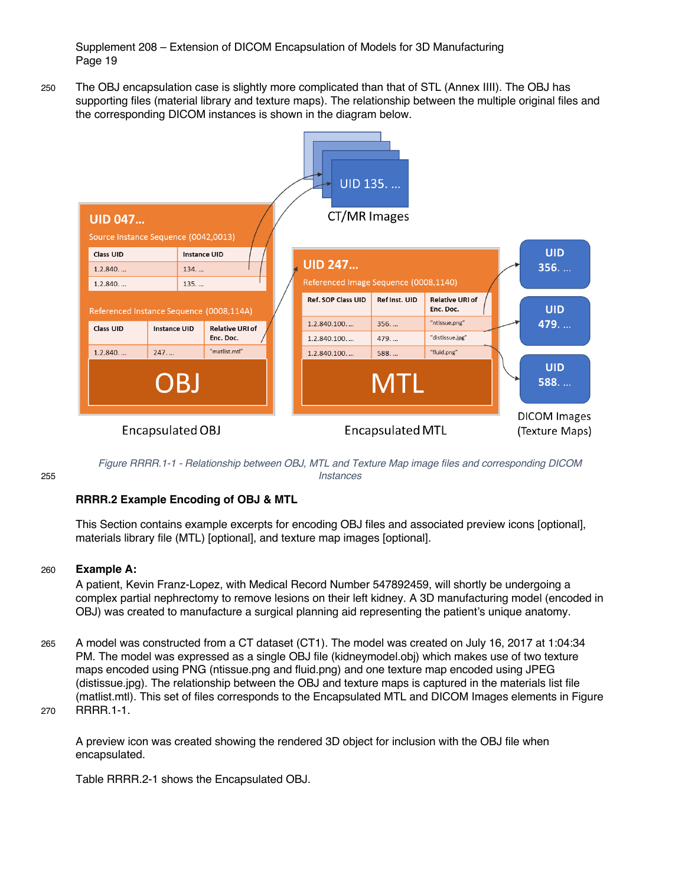250 The OBJ encapsulation case is slightly more complicated than that of STL (Annex IIII). The OBJ has supporting files (material library and texture maps). The relationship between the multiple original files and the corresponding DICOM instances is shown in the diagram below.



*Figure RRRR.1-1 - Relationship between OBJ, MTL and Texture Map image files and corresponding DICOM*  255 *Instances*

### **RRRR.2 Example Encoding of OBJ & MTL**

This Section contains example excerpts for encoding OBJ files and associated preview icons [optional], materials library file (MTL) [optional], and texture map images [optional].

#### 260 **Example A:**

A patient, Kevin Franz-Lopez, with Medical Record Number 547892459, will shortly be undergoing a complex partial nephrectomy to remove lesions on their left kidney. A 3D manufacturing model (encoded in OBJ) was created to manufacture a surgical planning aid representing the patient's unique anatomy.

265 A model was constructed from a CT dataset (CT1). The model was created on July 16, 2017 at 1:04:34 PM. The model was expressed as a single OBJ file (kidneymodel.obj) which makes use of two texture maps encoded using PNG (ntissue.png and fluid.png) and one texture map encoded using JPEG (distissue.jpg). The relationship between the OBJ and texture maps is captured in the materials list file (matlist.mtl). This set of files corresponds to the Encapsulated MTL and DICOM Images elements in Figure 270 RRRR.1-1.

A preview icon was created showing the rendered 3D object for inclusion with the OBJ file when encapsulated.

Table RRRR.2-1 shows the Encapsulated OBJ.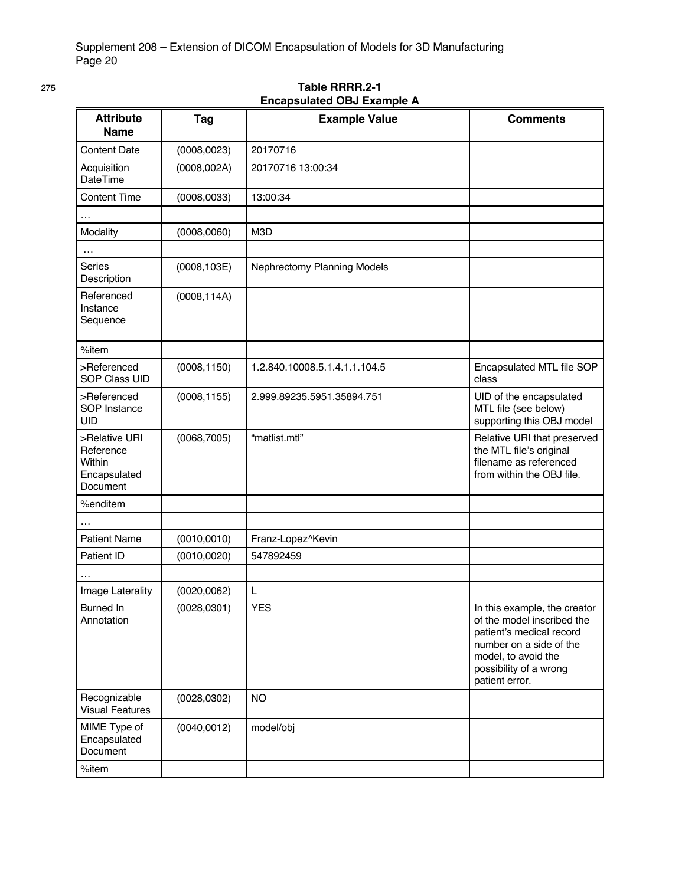|                                                                         |              | Encapsulated ODJ Example A    |                                                                                                                                                                                      |
|-------------------------------------------------------------------------|--------------|-------------------------------|--------------------------------------------------------------------------------------------------------------------------------------------------------------------------------------|
| <b>Attribute</b><br><b>Name</b>                                         | Tag          | <b>Example Value</b>          | <b>Comments</b>                                                                                                                                                                      |
| <b>Content Date</b>                                                     | (0008, 0023) | 20170716                      |                                                                                                                                                                                      |
| Acquisition<br><b>DateTime</b>                                          | (0008, 002A) | 20170716 13:00:34             |                                                                                                                                                                                      |
| <b>Content Time</b>                                                     | (0008, 0033) | 13:00:34                      |                                                                                                                                                                                      |
|                                                                         |              |                               |                                                                                                                                                                                      |
| Modality                                                                | (0008, 0060) | M3D                           |                                                                                                                                                                                      |
| $\ddotsc$                                                               |              |                               |                                                                                                                                                                                      |
| <b>Series</b><br>Description                                            | (0008, 103E) | Nephrectomy Planning Models   |                                                                                                                                                                                      |
| Referenced<br>Instance<br>Sequence                                      | (0008, 114A) |                               |                                                                                                                                                                                      |
| %item                                                                   |              |                               |                                                                                                                                                                                      |
| >Referenced<br><b>SOP Class UID</b>                                     | (0008, 1150) | 1.2.840.10008.5.1.4.1.1.104.5 | Encapsulated MTL file SOP<br>class                                                                                                                                                   |
| >Referenced<br>SOP Instance<br><b>UID</b>                               | (0008, 1155) | 2.999.89235.5951.35894.751    | UID of the encapsulated<br>MTL file (see below)<br>supporting this OBJ model                                                                                                         |
| >Relative URI<br>Reference<br><b>Within</b><br>Encapsulated<br>Document | (0068, 7005) | "matlist.mtl"                 | Relative URI that preserved<br>the MTL file's original<br>filename as referenced<br>from within the OBJ file.                                                                        |
| %enditem                                                                |              |                               |                                                                                                                                                                                      |
|                                                                         |              |                               |                                                                                                                                                                                      |
| <b>Patient Name</b>                                                     | (0010, 0010) | Franz-Lopez^Kevin             |                                                                                                                                                                                      |
| Patient ID                                                              | (0010, 0020) | 547892459                     |                                                                                                                                                                                      |
|                                                                         |              |                               |                                                                                                                                                                                      |
| Image Laterality                                                        | (0020, 0062) | L                             |                                                                                                                                                                                      |
| <b>Burned In</b><br>Annotation                                          | (0028, 0301) | <b>YES</b>                    | In this example, the creator<br>of the model inscribed the<br>patient's medical record<br>number on a side of the<br>model, to avoid the<br>possibility of a wrong<br>patient error. |
| Recognizable<br><b>Visual Features</b>                                  | (0028, 0302) | <b>NO</b>                     |                                                                                                                                                                                      |
| MIME Type of<br>Encapsulated<br>Document                                | (0040, 0012) | model/obj                     |                                                                                                                                                                                      |
| %item                                                                   |              |                               |                                                                                                                                                                                      |

#### 275 **Table RRRR.2-1 Encapsulated OBJ Example A**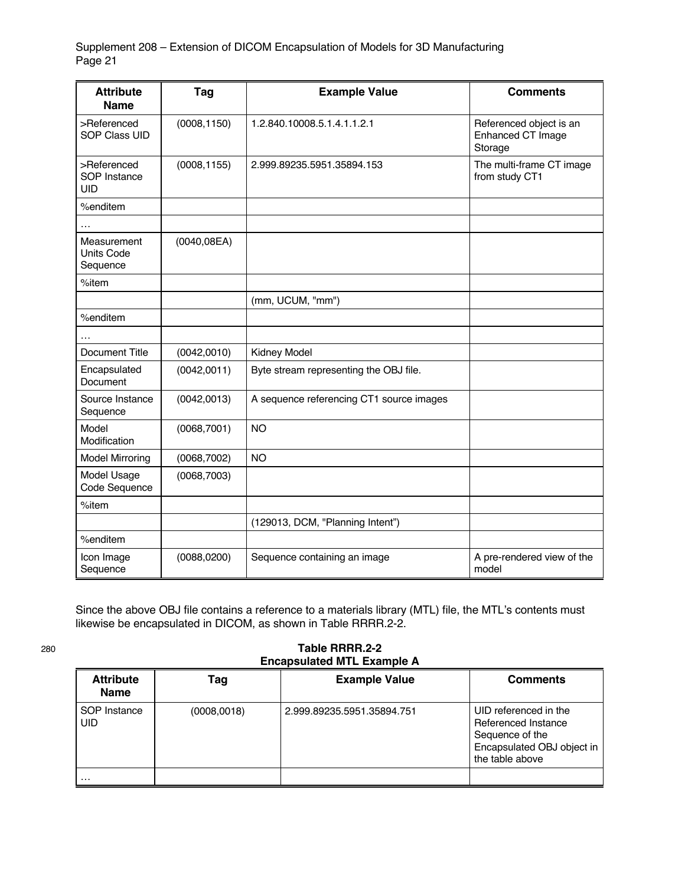| <b>Attribute</b><br><b>Name</b>              | Tag          | <b>Example Value</b>                     | <b>Comments</b>                                         |
|----------------------------------------------|--------------|------------------------------------------|---------------------------------------------------------|
| >Referenced<br><b>SOP Class UID</b>          | (0008, 1150) | 1.2.840.10008.5.1.4.1.1.2.1              | Referenced object is an<br>Enhanced CT Image<br>Storage |
| >Referenced<br>SOP Instance<br><b>UID</b>    | (0008, 1155) | 2.999.89235.5951.35894.153               | The multi-frame CT image<br>from study CT1              |
| %enditem                                     |              |                                          |                                                         |
| .                                            |              |                                          |                                                         |
| Measurement<br><b>Units Code</b><br>Sequence | (0040, 08EA) |                                          |                                                         |
| %item                                        |              |                                          |                                                         |
|                                              |              | (mm, UCUM, "mm")                         |                                                         |
| %enditem                                     |              |                                          |                                                         |
| $\cdot$                                      |              |                                          |                                                         |
| <b>Document Title</b>                        | (0042, 0010) | <b>Kidney Model</b>                      |                                                         |
| Encapsulated<br>Document                     | (0042, 0011) | Byte stream representing the OBJ file.   |                                                         |
| Source Instance<br>Sequence                  | (0042, 0013) | A sequence referencing CT1 source images |                                                         |
| Model<br>Modification                        | (0068, 7001) | <b>NO</b>                                |                                                         |
| <b>Model Mirroring</b>                       | (0068, 7002) | <b>NO</b>                                |                                                         |
| Model Usage<br>Code Sequence                 | (0068, 7003) |                                          |                                                         |
| %item                                        |              |                                          |                                                         |
|                                              |              | (129013, DCM, "Planning Intent")         |                                                         |
| %enditem                                     |              |                                          |                                                         |
| Icon Image<br>Sequence                       | (0088, 0200) | Sequence containing an image             | A pre-rendered view of the<br>model                     |

Since the above OBJ file contains a reference to a materials library (MTL) file, the MTL's contents must likewise be encapsulated in DICOM, as shown in Table RRRR.2-2.

| 280 | Table RRRR.2-2                    |
|-----|-----------------------------------|
|     | <b>Encapsulated MTL Example A</b> |

| <b>Attribute</b><br><b>Name</b> | Tag         | <b>Example Value</b>       | <b>Comments</b>                                                                                                  |
|---------------------------------|-------------|----------------------------|------------------------------------------------------------------------------------------------------------------|
| SOP Instance<br>UID             | (0008,0018) | 2.999.89235.5951.35894.751 | UID referenced in the<br>Referenced Instance<br>Sequence of the<br>Encapsulated OBJ object in<br>the table above |
| .                               |             |                            |                                                                                                                  |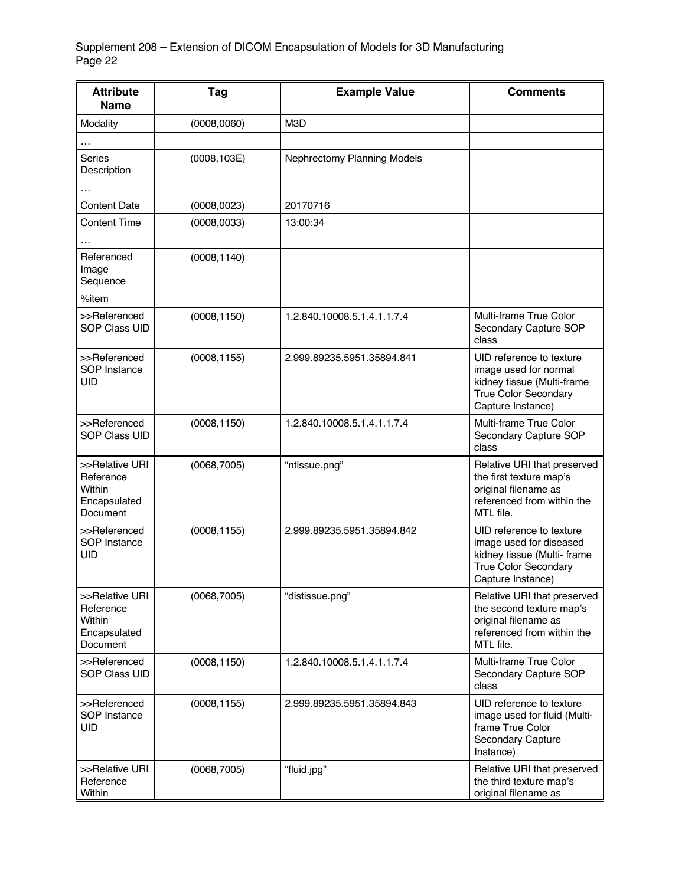| <b>Attribute</b><br><b>Name</b>                                   | Tag          | <b>Example Value</b>        | <b>Comments</b>                                                                                                                        |
|-------------------------------------------------------------------|--------------|-----------------------------|----------------------------------------------------------------------------------------------------------------------------------------|
| Modality                                                          | (0008, 0060) | M3D                         |                                                                                                                                        |
| .                                                                 |              |                             |                                                                                                                                        |
| <b>Series</b><br>Description                                      | (0008, 103E) | Nephrectomy Planning Models |                                                                                                                                        |
| .                                                                 |              |                             |                                                                                                                                        |
| <b>Content Date</b>                                               | (0008, 0023) | 20170716                    |                                                                                                                                        |
| <b>Content Time</b>                                               | (0008, 0033) | 13:00:34                    |                                                                                                                                        |
|                                                                   |              |                             |                                                                                                                                        |
| Referenced<br>Image<br>Sequence                                   | (0008, 1140) |                             |                                                                                                                                        |
| $%$ item                                                          |              |                             |                                                                                                                                        |
| >>Referenced<br><b>SOP Class UID</b>                              | (0008, 1150) | 1.2.840.10008.5.1.4.1.1.7.4 | Multi-frame True Color<br>Secondary Capture SOP<br>class                                                                               |
| >>Referenced<br>SOP Instance<br><b>UID</b>                        | (0008, 1155) | 2.999.89235.5951.35894.841  | UID reference to texture<br>image used for normal<br>kidney tissue (Multi-frame<br><b>True Color Secondary</b><br>Capture Instance)    |
| >>Referenced<br><b>SOP Class UID</b>                              | (0008, 1150) | 1.2.840.10008.5.1.4.1.1.7.4 | Multi-frame True Color<br>Secondary Capture SOP<br>class                                                                               |
| >>Relative URI<br>Reference<br>Within<br>Encapsulated<br>Document | (0068, 7005) | "ntissue.png"               | Relative URI that preserved<br>the first texture map's<br>original filename as<br>referenced from within the<br>MTL file.              |
| >>Referenced<br>SOP Instance<br><b>UID</b>                        | (0008, 1155) | 2.999.89235.5951.35894.842  | UID reference to texture<br>image used for diseased<br>kidney tissue (Multi- frame<br><b>True Color Secondary</b><br>Capture Instance) |
| >>Relative URI<br>Reference<br>Within<br>Encapsulated<br>Document | (0068, 7005) | "distissue.png"             | Relative URI that preserved<br>the second texture map's<br>original filename as<br>referenced from within the<br>MTL file.             |
| >>Referenced<br>SOP Class UID                                     | (0008, 1150) | 1.2.840.10008.5.1.4.1.1.7.4 | Multi-frame True Color<br>Secondary Capture SOP<br>class                                                                               |
| >>Referenced<br>SOP Instance<br><b>UID</b>                        | (0008, 1155) | 2.999.89235.5951.35894.843  | UID reference to texture<br>image used for fluid (Multi-<br>frame True Color<br>Secondary Capture<br>Instance)                         |
| >>Relative URI<br>Reference<br>Within                             | (0068, 7005) | "fluid.jpg"                 | Relative URI that preserved<br>the third texture map's<br>original filename as                                                         |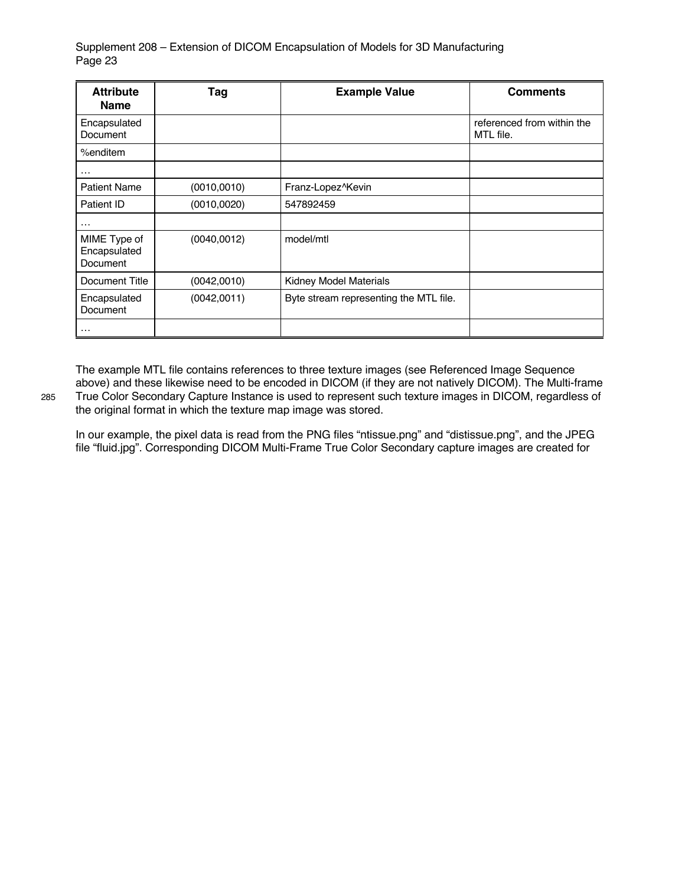| <b>Attribute</b><br><b>Name</b>          | Tag          | <b>Example Value</b>                   | <b>Comments</b>                         |
|------------------------------------------|--------------|----------------------------------------|-----------------------------------------|
| Encapsulated<br>Document                 |              |                                        | referenced from within the<br>MTL file. |
| %enditem                                 |              |                                        |                                         |
| $\cdots$                                 |              |                                        |                                         |
| <b>Patient Name</b>                      | (0010, 0010) | Franz-Lopez^Kevin                      |                                         |
| Patient ID                               | (0010, 0020) | 547892459                              |                                         |
| $\cdots$                                 |              |                                        |                                         |
| MIME Type of<br>Encapsulated<br>Document | (0040, 0012) | model/mtl                              |                                         |
| Document Title                           | (0042,0010)  | Kidney Model Materials                 |                                         |
| Encapsulated<br>Document                 | (0042,0011)  | Byte stream representing the MTL file. |                                         |
| $\cdot$                                  |              |                                        |                                         |

The example MTL file contains references to three texture images (see Referenced Image Sequence above) and these likewise need to be encoded in DICOM (if they are not natively DICOM). The Multi-frame 285 True Color Secondary Capture Instance is used to represent such texture images in DICOM, regardless of the original format in which the texture map image was stored.

In our example, the pixel data is read from the PNG files "ntissue.png" and "distissue.png", and the JPEG file "fluid.jpg". Corresponding DICOM Multi-Frame True Color Secondary capture images are created for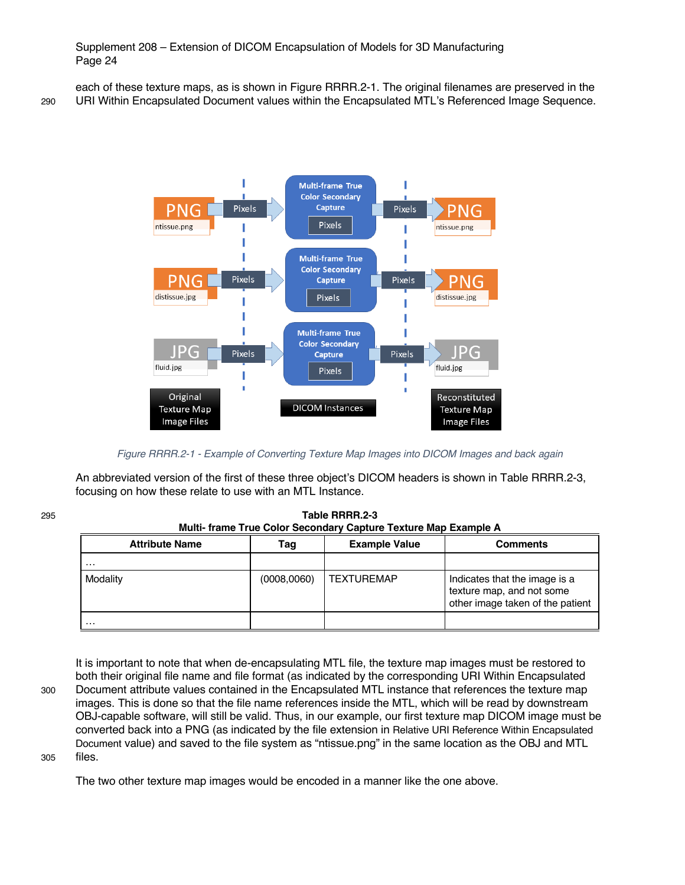each of these texture maps, as is shown in Figure RRRR.2-1. The original filenames are preserved in the 290 URI Within Encapsulated Document values within the Encapsulated MTL's Referenced Image Sequence.



*Figure RRRR.2-1 - Example of Converting Texture Map Images into DICOM Images and back again*

An abbreviated version of the first of these three object's DICOM headers is shown in Table RRRR.2-3, focusing on how these relate to use with an MTL Instance.

295 **Table RRRR.2-3**

| Multi- frame True Color Secondary Capture Texture Map Example A |              |                      |                                                                                                |  |
|-----------------------------------------------------------------|--------------|----------------------|------------------------------------------------------------------------------------------------|--|
| <b>Attribute Name</b>                                           | Tag          | <b>Example Value</b> | <b>Comments</b>                                                                                |  |
| $\cdots$                                                        |              |                      |                                                                                                |  |
| Modality                                                        | (0008, 0060) | TEXTUREMAP           | Indicates that the image is a<br>texture map, and not some<br>other image taken of the patient |  |
| $\cdot$                                                         |              |                      |                                                                                                |  |

It is important to note that when de-encapsulating MTL file, the texture map images must be restored to both their original file name and file format (as indicated by the corresponding URI Within Encapsulated 300 Document attribute values contained in the Encapsulated MTL instance that references the texture map images. This is done so that the file name references inside the MTL, which will be read by downstream OBJ-capable software, will still be valid. Thus, in our example, our first texture map DICOM image must be converted back into a PNG (as indicated by the file extension in Relative URI Reference Within Encapsulated Document value) and saved to the file system as "ntissue.png" in the same location as the OBJ and MTL 305 files.

The two other texture map images would be encoded in a manner like the one above.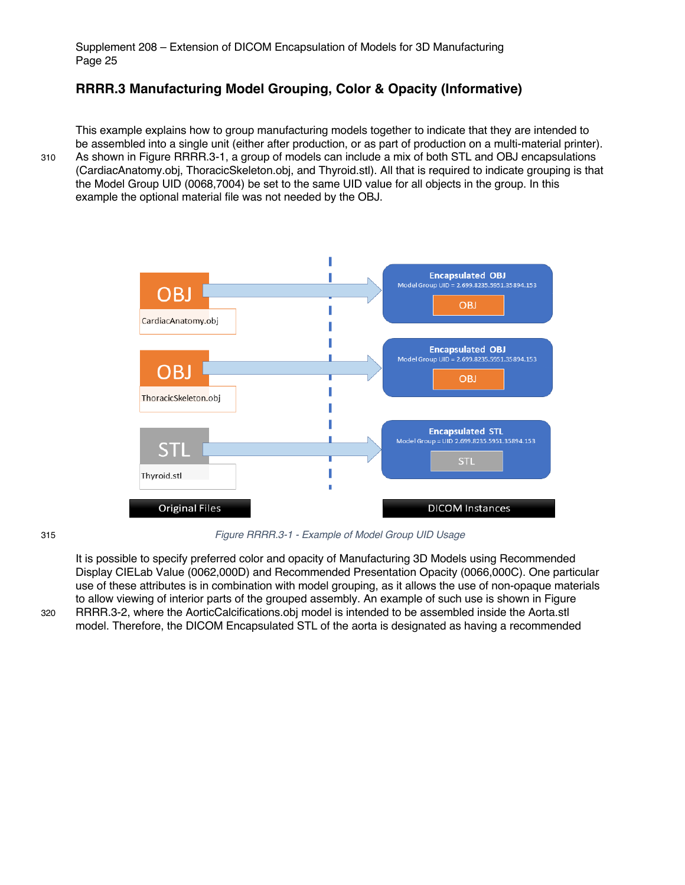# **RRRR.3 Manufacturing Model Grouping, Color & Opacity (Informative)**

This example explains how to group manufacturing models together to indicate that they are intended to be assembled into a single unit (either after production, or as part of production on a multi-material printer). 310 As shown in Figure RRRR.3-1, a group of models can include a mix of both STL and OBJ encapsulations (CardiacAnatomy.obj, ThoracicSkeleton.obj, and Thyroid.stl). All that is required to indicate grouping is that the Model Group UID (0068,7004) be set to the same UID value for all objects in the group. In this example the optional material file was not needed by the OBJ.



315 *Figure RRRR.3-1 - Example of Model Group UID Usage*

It is possible to specify preferred color and opacity of Manufacturing 3D Models using Recommended Display CIELab Value (0062,000D) and Recommended Presentation Opacity (0066,000C). One particular use of these attributes is in combination with model grouping, as it allows the use of non-opaque materials to allow viewing of interior parts of the grouped assembly. An example of such use is shown in Figure 320 RRRR.3-2, where the AorticCalcifications.obj model is intended to be assembled inside the Aorta.stl model. Therefore, the DICOM Encapsulated STL of the aorta is designated as having a recommended